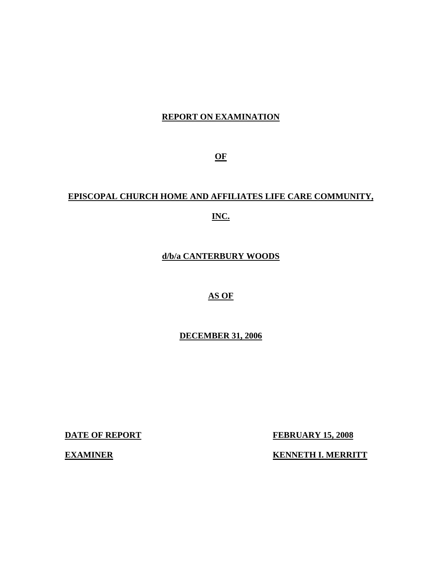## **REPORT ON EXAMINATION**

**OF** 

# **EPISCOPAL CHURCH HOME AND AFFILIATES LIFE CARE COMMUNITY, INC.**

**d/b/a CANTERBURY WOODS** 

### **AS OF**

**DECEMBER 31, 2006** 

**DATE OF REPORT FEBRUARY 15, 2008** 

**EXAMINER KENNETH I. MERRITT**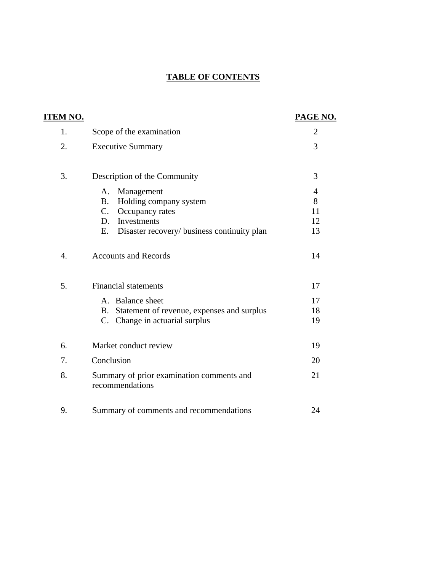## **TABLE OF CONTENTS**

| <u>ITEM NO.</u>  |                                                                                                                                                                                                     | PAGE NO.                                   |
|------------------|-----------------------------------------------------------------------------------------------------------------------------------------------------------------------------------------------------|--------------------------------------------|
| 1.               | Scope of the examination                                                                                                                                                                            | $\overline{2}$                             |
| 2.               | <b>Executive Summary</b>                                                                                                                                                                            | 3                                          |
| 3.               | Description of the Community<br>Management<br>A.<br>Holding company system<br><b>B.</b><br>Occupancy rates<br>$C_{\cdot}$<br>Investments<br>D.<br>Disaster recovery/ business continuity plan<br>Е. | 3<br>$\overline{4}$<br>8<br>11<br>12<br>13 |
| $\overline{4}$ . | <b>Accounts and Records</b>                                                                                                                                                                         | 14                                         |
| 5.               | <b>Financial statements</b><br>A. Balance sheet<br>B. Statement of revenue, expenses and surplus                                                                                                    | 17<br>17<br>18                             |
|                  | C. Change in actuarial surplus                                                                                                                                                                      | 19                                         |
| 6.               | Market conduct review                                                                                                                                                                               | 19                                         |
| 7.               | Conclusion                                                                                                                                                                                          | 20                                         |
| 8.               | Summary of prior examination comments and<br>recommendations                                                                                                                                        | 21                                         |
| 9.               | Summary of comments and recommendations                                                                                                                                                             | 24                                         |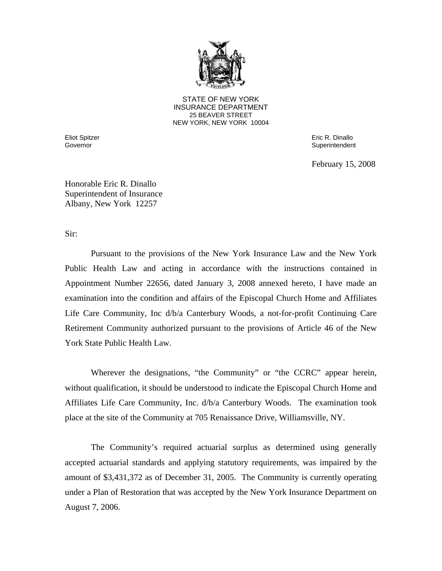

**25 BEAVER STREET** STATE OF NEW YORK INSURANCE DEPARTMENT NEW YORK, NEW YORK 10004

Eliot Spitzer Eric R. Dinallo Governor **Superintendent** Superintendent Superintendent Superintendent Superintendent Superintendent Superintendent

February 15, 2008

Honorable Eric R. Dinallo Superintendent of Insurance Albany, New York 12257

Sir:

Pursuant to the provisions of the New York Insurance Law and the New York Public Health Law and acting in accordance with the instructions contained in Appointment Number 22656, dated January 3, 2008 annexed hereto, I have made an examination into the condition and affairs of the Episcopal Church Home and Affiliates Life Care Community, Inc d/b/a Canterbury Woods, a not-for-profit Continuing Care Retirement Community authorized pursuant to the provisions of Article 46 of the New York State Public Health Law.

Wherever the designations, "the Community" or "the CCRC" appear herein, without qualification, it should be understood to indicate the Episcopal Church Home and Affiliates Life Care Community, Inc. d/b/a Canterbury Woods. The examination took place at the site of the Community at 705 Renaissance Drive, Williamsville, NY.

The Community's required actuarial surplus as determined using generally accepted actuarial standards and applying statutory requirements, was impaired by the amount of \$3,431,372 as of December 31, 2005. The Community is currently operating under a Plan of Restoration that was accepted by the New York Insurance Department on August 7, 2006.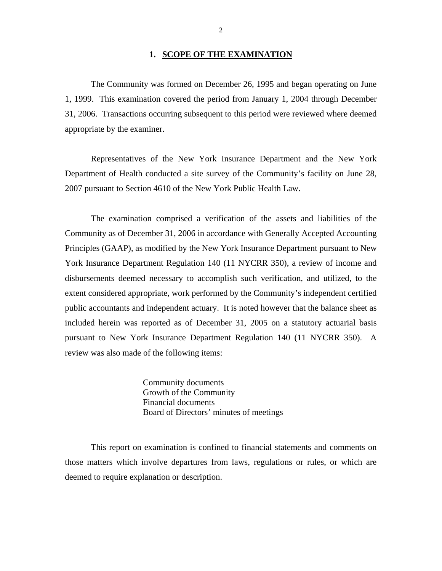#### **1. SCOPE OF THE EXAMINATION**

The Community was formed on December 26, 1995 and began operating on June 1, 1999. This examination covered the period from January 1, 2004 through December 31, 2006. Transactions occurring subsequent to this period were reviewed where deemed appropriate by the examiner.

Representatives of the New York Insurance Department and the New York Department of Health conducted a site survey of the Community's facility on June 28, 2007 pursuant to Section 4610 of the New York Public Health Law.

The examination comprised a verification of the assets and liabilities of the Community as of December 31, 2006 in accordance with Generally Accepted Accounting Principles (GAAP), as modified by the New York Insurance Department pursuant to New York Insurance Department Regulation 140 (11 NYCRR 350), a review of income and disbursements deemed necessary to accomplish such verification, and utilized, to the extent considered appropriate, work performed by the Community's independent certified public accountants and independent actuary. It is noted however that the balance sheet as included herein was reported as of December 31, 2005 on a statutory actuarial basis pursuant to New York Insurance Department Regulation 140 (11 NYCRR 350). A review was also made of the following items:

> Community documents Growth of the Community Financial documents Board of Directors' minutes of meetings

This report on examination is confined to financial statements and comments on those matters which involve departures from laws, regulations or rules, or which are deemed to require explanation or description.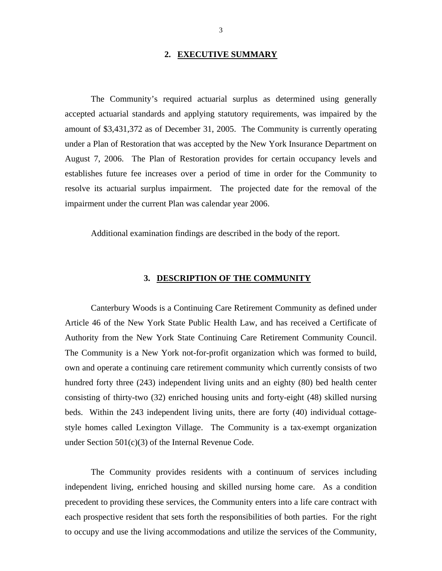#### **2. EXECUTIVE SUMMARY**

<span id="page-4-0"></span>The Community's required actuarial surplus as determined using generally accepted actuarial standards and applying statutory requirements, was impaired by the amount of \$3,431,372 as of December 31, 2005. The Community is currently operating under a Plan of Restoration that was accepted by the New York Insurance Department on August 7, 2006. The Plan of Restoration provides for certain occupancy levels and establishes future fee increases over a period of time in order for the Community to resolve its actuarial surplus impairment. The projected date for the removal of the impairment under the current Plan was calendar year 2006.

Additional examination findings are described in the body of the report.

#### **3. DESCRIPTION OF THE COMMUNITY**

Canterbury Woods is a Continuing Care Retirement Community as defined under Article 46 of the New York State Public Health Law, and has received a Certificate of Authority from the New York State Continuing Care Retirement Community Council. The Community is a New York not-for-profit organization which was formed to build, own and operate a continuing care retirement community which currently consists of two hundred forty three (243) independent living units and an eighty (80) bed health center consisting of thirty-two (32) enriched housing units and forty-eight (48) skilled nursing beds. Within the 243 independent living units, there are forty (40) individual cottagestyle homes called Lexington Village. The Community is a tax-exempt organization under Section 501(c)(3) of the Internal Revenue Code.

The Community provides residents with a continuum of services including independent living, enriched housing and skilled nursing home care. As a condition precedent to providing these services, the Community enters into a life care contract with each prospective resident that sets forth the responsibilities of both parties. For the right to occupy and use the living accommodations and utilize the services of the Community,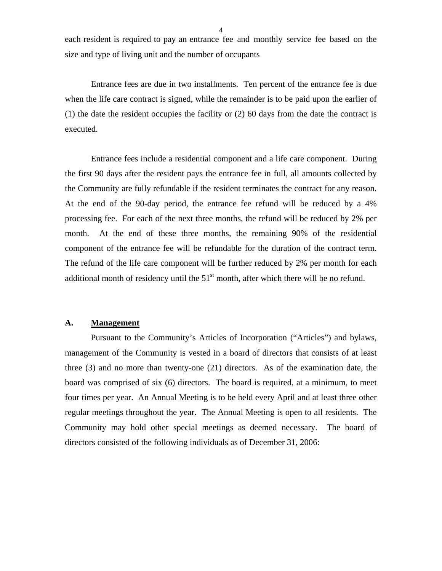4

<span id="page-5-0"></span>each resident is required to pay an entrance fee and monthly service fee based on the size and type of living unit and the number of occupants

Entrance fees are due in two installments. Ten percent of the entrance fee is due when the life care contract is signed, while the remainder is to be paid upon the earlier of (1) the date the resident occupies the facility or (2) 60 days from the date the contract is executed.

Entrance fees include a residential component and a life care component. During the first 90 days after the resident pays the entrance fee in full, all amounts collected by the Community are fully refundable if the resident terminates the contract for any reason. At the end of the 90-day period, the entrance fee refund will be reduced by a 4% processing fee. For each of the next three months, the refund will be reduced by 2% per month. At the end of these three months, the remaining 90% of the residential component of the entrance fee will be refundable for the duration of the contract term. The refund of the life care component will be further reduced by 2% per month for each additional month of residency until the  $51<sup>st</sup>$  month, after which there will be no refund.

#### **A. Management**

Pursuant to the Community's Articles of Incorporation ("Articles") and bylaws, management of the Community is vested in a board of directors that consists of at least three (3) and no more than twenty-one (21) directors. As of the examination date, the board was comprised of six (6) directors. The board is required, at a minimum, to meet four times per year. An Annual Meeting is to be held every April and at least three other regular meetings throughout the year. The Annual Meeting is open to all residents. The Community may hold other special meetings as deemed necessary. The board of directors consisted of the following individuals as of December 31, 2006: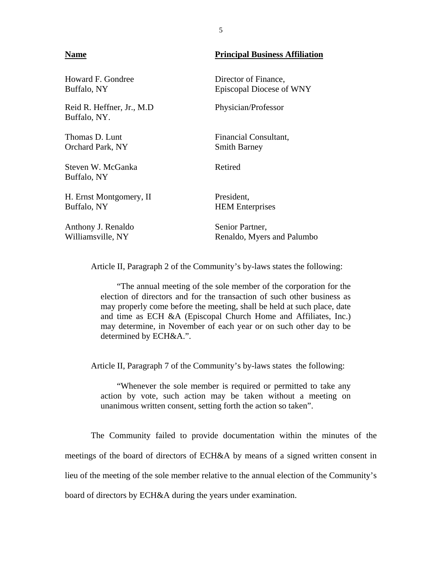#### **Name Principal Business Affiliation**

Howard F. Gondree Director of Finance, Buffalo, NY Episcopal Diocese of WNY Reid R. Heffner, Jr., M.D Physician/Professor Buffalo, NY. Thomas D. Lunt Financial Consultant, Orchard Park, NY Smith Barney Steven W. McGanka Retired Buffalo, NY H. Ernst Montgomery, II President, Buffalo, NY HEM Enterprises Anthony J. Renaldo Senior Partner, Williamsville, NY Renaldo, Myers and Palumbo

Article II, Paragraph 2 of the Community's by-laws states the following:

"The annual meeting of the sole member of the corporation for the election of directors and for the transaction of such other business as may properly come before the meeting, shall be held at such place, date and time as ECH &A (Episcopal Church Home and Affiliates, Inc.) may determine, in November of each year or on such other day to be determined by ECH&A.".

Article II, Paragraph 7 of the Community's by-laws states the following:

"Whenever the sole member is required or permitted to take any action by vote, such action may be taken without a meeting on unanimous written consent, setting forth the action so taken".

The Community failed to provide documentation within the minutes of the meetings of the board of directors of ECH&A by means of a signed written consent in lieu of the meeting of the sole member relative to the annual election of the Community's board of directors by ECH&A during the years under examination.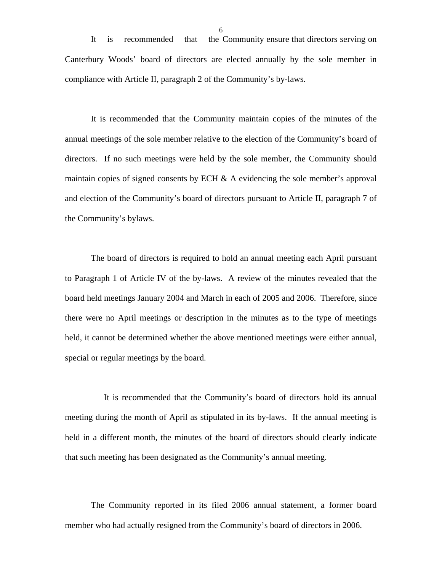It is recommended that the Community ensure that directors serving on Canterbury Woods' board of directors are elected annually by the sole member in compliance with Article II, paragraph 2 of the Community's by-laws.

It is recommended that the Community maintain copies of the minutes of the annual meetings of the sole member relative to the election of the Community's board of directors. If no such meetings were held by the sole member, the Community should maintain copies of signed consents by ECH  $\&$  A evidencing the sole member's approval and election of the Community's board of directors pursuant to Article II, paragraph 7 of the Community's bylaws.

The board of directors is required to hold an annual meeting each April pursuant to Paragraph 1 of Article IV of the by-laws. A review of the minutes revealed that the board held meetings January 2004 and March in each of 2005 and 2006. Therefore, since there were no April meetings or description in the minutes as to the type of meetings held, it cannot be determined whether the above mentioned meetings were either annual, special or regular meetings by the board.

It is recommended that the Community's board of directors hold its annual meeting during the month of April as stipulated in its by-laws. If the annual meeting is held in a different month, the minutes of the board of directors should clearly indicate that such meeting has been designated as the Community's annual meeting.

The Community reported in its filed 2006 annual statement, a former board member who had actually resigned from the Community's board of directors in 2006.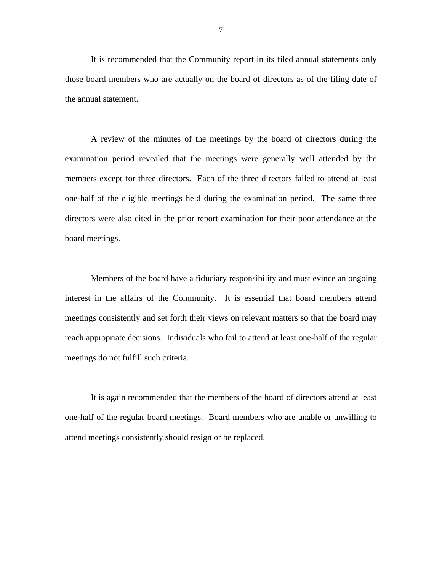It is recommended that the Community report in its filed annual statements only those board members who are actually on the board of directors as of the filing date of the annual statement.

A review of the minutes of the meetings by the board of directors during the examination period revealed that the meetings were generally well attended by the members except for three directors. Each of the three directors failed to attend at least one-half of the eligible meetings held during the examination period. The same three directors were also cited in the prior report examination for their poor attendance at the board meetings.

Members of the board have a fiduciary responsibility and must evince an ongoing interest in the affairs of the Community. It is essential that board members attend meetings consistently and set forth their views on relevant matters so that the board may reach appropriate decisions. Individuals who fail to attend at least one-half of the regular meetings do not fulfill such criteria.

It is again recommended that the members of the board of directors attend at least one-half of the regular board meetings. Board members who are unable or unwilling to attend meetings consistently should resign or be replaced.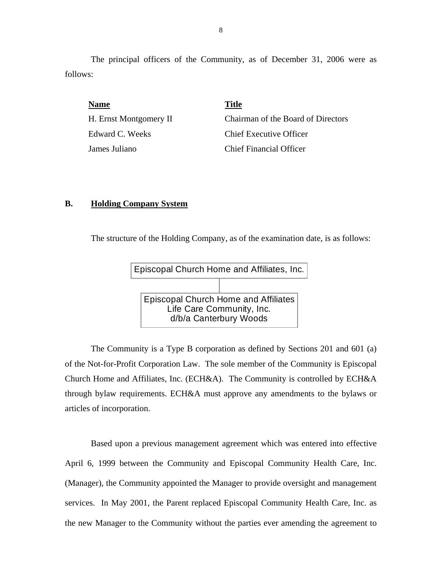The principal officers of the Community, as of December 31, 2006 were as follows:

| <b>Name</b>            | <b>Title</b>                       |
|------------------------|------------------------------------|
| H. Ernst Montgomery II | Chairman of the Board of Directors |
| Edward C. Weeks        | <b>Chief Executive Officer</b>     |
| James Juliano          | Chief Financial Officer            |

#### **B. Holding Company System**

The structure of the Holding Company, as of the examination date, is as follows:



The Community is a Type B corporation as defined by Sections 201 and 601 (a) of the Not-for-Profit Corporation Law. The sole member of the Community is Episcopal Church Home and Affiliates, Inc. (ECH&A). The Community is controlled by ECH&A through bylaw requirements. ECH&A must approve any amendments to the bylaws or articles of incorporation.

Based upon a previous management agreement which was entered into effective April 6, 1999 between the Community and Episcopal Community Health Care, Inc. (Manager), the Community appointed the Manager to provide oversight and management services. In May 2001, the Parent replaced Episcopal Community Health Care, Inc. as the new Manager to the Community without the parties ever amending the agreement to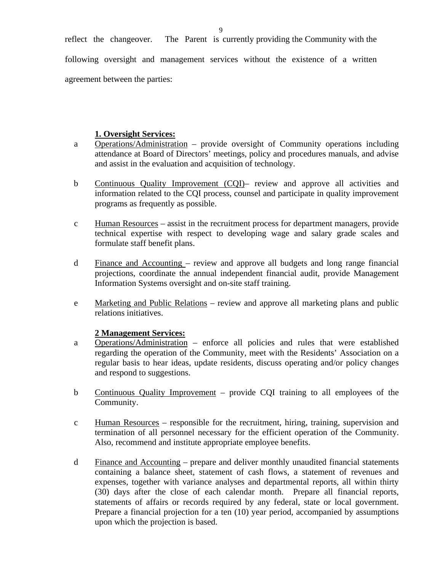reflect the changeover. The Parent is currently providing the Community with the following oversight and management services without the existence of a written agreement between the parties:

#### **1. Oversight Services:**

- a Operations/Administration provide oversight of Community operations including attendance at Board of Directors' meetings, policy and procedures manuals, and advise and assist in the evaluation and acquisition of technology.
- b Continuous Quality Improvement (CQI)– review and approve all activities and information related to the CQI process, counsel and participate in quality improvement programs as frequently as possible.
- c Human Resources assist in the recruitment process for department managers, provide technical expertise with respect to developing wage and salary grade scales and formulate staff benefit plans.
- d Finance and Accounting review and approve all budgets and long range financial projections, coordinate the annual independent financial audit, provide Management Information Systems oversight and on-site staff training.
- e Marketing and Public Relations review and approve all marketing plans and public relations initiatives.

#### **2 Management Services:**

- a Operations/Administration enforce all policies and rules that were established regarding the operation of the Community, meet with the Residents' Association on a regular basis to hear ideas, update residents, discuss operating and/or policy changes and respond to suggestions.
- b Continuous Quality Improvement provide CQI training to all employees of the Community.
- termination of all personnel necessary for the efficient operation of the Community. Also, recommend and institute appropriate employee benefits. c Human Resources – responsible for the recruitment, hiring, training, supervision and
- d Finance and Accounting prepare and deliver monthly unaudited financial statements containing a balance sheet, statement of cash flows, a statement of revenues and expenses, together with variance analyses and departmental reports, all within thirty (30) days after the close of each calendar month. Prepare all financial reports, statements of affairs or records required by any federal, state or local government. Prepare a financial projection for a ten (10) year period, accompanied by assumptions upon which the projection is based.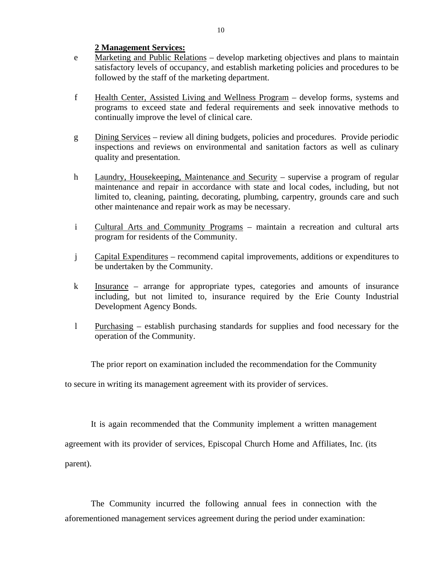#### **2 Management Services:**

- e Marketing and Public Relations – develop marketing objectives and plans to maintain satisfactory levels of occupancy, and establish marketing policies and procedures to be followed by the staff of the marketing department.
- f Health Center, Assisted Living and Wellness Program develop forms, systems and programs to exceed state and federal requirements and seek innovative methods to continually improve the level of clinical care.
- g Dining Services review all dining budgets, policies and procedures. Provide periodic inspections and reviews on environmental and sanitation factors as well as culinary quality and presentation.
- h Laundry, Housekeeping, Maintenance and Security supervise a program of regular maintenance and repair in accordance with state and local codes, including, but not limited to, cleaning, painting, decorating, plumbing, carpentry, grounds care and such other maintenance and repair work as may be necessary.
- i Cultural Arts and Community Programs maintain a recreation and cultural arts program for residents of the Community.
- j Capital Expenditures recommend capital improvements, additions or expenditures to be undertaken by the Community.
- k Insurance arrange for appropriate types, categories and amounts of insurance including, but not limited to, insurance required by the Erie County Industrial Development Agency Bonds.
- l Purchasing establish purchasing standards for supplies and food necessary for the operation of the Community.

The prior report on examination included the recommendation for the Community

to secure in writing its management agreement with its provider of services.

It is again recommended that the Community implement a written management agreement with its provider of services, Episcopal Church Home and Affiliates, Inc. (its parent).

The Community incurred the following annual fees in connection with the aforementioned management services agreement during the period under examination: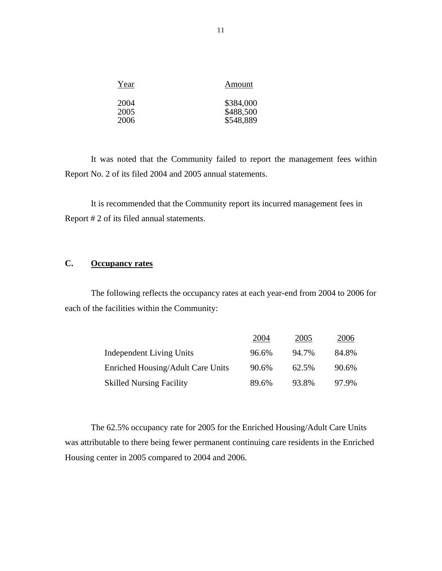| Year         | Amount                 |
|--------------|------------------------|
| 2004<br>2005 | \$384,000<br>\$488,500 |
| 2006         | \$548,889              |

It was noted that the Community failed to report the management fees within Report No. 2 of its filed 2004 and 2005 annual statements.

It is recommended that the Community report its incurred management fees in Report # 2 of its filed annual statements.

### **C. Occupancy rates**

The following reflects the occupancy rates at each year-end from 2004 to 2006 for each of the facilities within the Community:

|                                   | 2004  | 2005  | 2006  |
|-----------------------------------|-------|-------|-------|
| Independent Living Units          | 96.6% | 94.7% | 84.8% |
| Enriched Housing/Adult Care Units | 90.6% | 62.5% | 90.6% |
| <b>Skilled Nursing Facility</b>   | 89.6% | 93.8% | 97.9% |

The 62.5% occupancy rate for 2005 for the Enriched Housing/Adult Care Units was attributable to there being fewer permanent continuing care residents in the Enriched Housing center in 2005 compared to 2004 and 2006.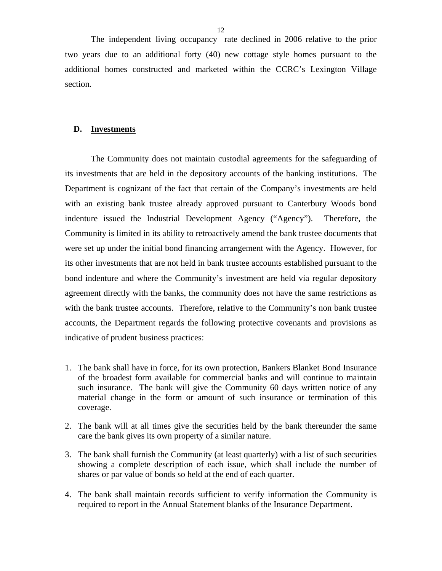<span id="page-13-0"></span>The independent living occupancy rate declined in 2006 relative to the prior two years due to an additional forty (40) new cottage style homes pursuant to the additional homes constructed and marketed within the CCRC's Lexington Village section.

#### **D. Investments**

The Community does not maintain custodial agreements for the safeguarding of its investments that are held in the depository accounts of the banking institutions. The Department is cognizant of the fact that certain of the Company's investments are held with an existing bank trustee already approved pursuant to Canterbury Woods bond indenture issued the Industrial Development Agency ("Agency"). Therefore, the Community is limited in its ability to retroactively amend the bank trustee documents that were set up under the initial bond financing arrangement with the Agency. However, for its other investments that are not held in bank trustee accounts established pursuant to the bond indenture and where the Community's investment are held via regular depository agreement directly with the banks, the community does not have the same restrictions as with the bank trustee accounts. Therefore, relative to the Community's non bank trustee accounts, the Department regards the following protective covenants and provisions as indicative of prudent business practices:

- 1. The bank shall have in force, for its own protection, Bankers Blanket Bond Insurance of the broadest form available for commercial banks and will continue to maintain such insurance. The bank will give the Community 60 days written notice of any material change in the form or amount of such insurance or termination of this coverage.
- 2. The bank will at all times give the securities held by the bank thereunder the same care the bank gives its own property of a similar nature.
- 3. The bank shall furnish the Community (at least quarterly) with a list of such securities showing a complete description of each issue, which shall include the number of shares or par value of bonds so held at the end of each quarter.
- 4. The bank shall maintain records sufficient to verify information the Community is required to report in the Annual Statement blanks of the Insurance Department.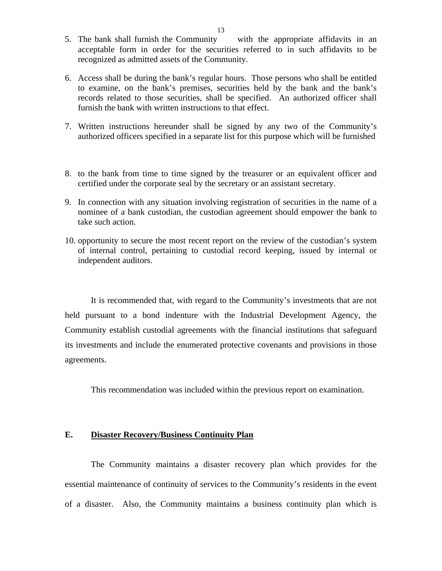- <span id="page-14-0"></span>5. The bank shall furnish the Community with the appropriate affidavits in an acceptable form in order for the securities referred to in such affidavits to be recognized as admitted assets of the Community.
- 6. Access shall be during the bank's regular hours. Those persons who shall be entitled to examine, on the bank's premises, securities held by the bank and the bank's records related to those securities, shall be specified. An authorized officer shall furnish the bank with written instructions to that effect.
- 7. Written instructions hereunder shall be signed by any two of the Community's authorized officers specified in a separate list for this purpose which will be furnished
- certified under the corporate seal by the secretary or an assistant secretary. 8. to the bank from time to time signed by the treasurer or an equivalent officer and
- 9. In connection with any situation involving registration of securities in the name of a nominee of a bank custodian, the custodian agreement should empower the bank to take such action.
- 10. opportunity to secure the most recent report on the review of the custodian's system of internal control, pertaining to custodial record keeping, issued by internal or independent auditors.

It is recommended that, with regard to the Community's investments that are not held pursuant to a bond indenture with the Industrial Development Agency, the Community establish custodial agreements with the financial institutions that safeguard its investments and include the enumerated protective covenants and provisions in those agreements.

This recommendation was included within the previous report on examination.

#### **E. Disaster Recovery/Business Continuity Plan**

The Community maintains a disaster recovery plan which provides for the essential maintenance of continuity of services to the Community's residents in the event of a disaster. Also, the Community maintains a business continuity plan which is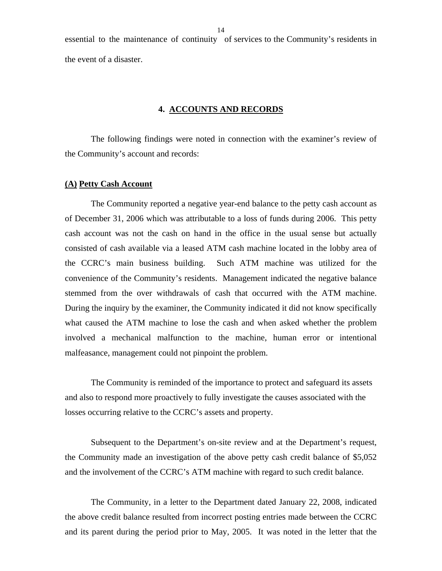<span id="page-15-0"></span>essential to the maintenance of continuity of services to the Community's residents in the event of a disaster.

#### **4. ACCOUNTS AND RECORDS**

The following findings were noted in connection with the examiner's review of the Community's account and records:

#### **(A) Petty Cash Account**

stemmed from the over withdrawals of cash that occurred with the ATM machine. The Community reported a negative year-end balance to the petty cash account as of December 31, 2006 which was attributable to a loss of funds during 2006. This petty cash account was not the cash on hand in the office in the usual sense but actually consisted of cash available via a leased ATM cash machine located in the lobby area of the CCRC's main business building. Such ATM machine was utilized for the convenience of the Community's residents. Management indicated the negative balance During the inquiry by the examiner, the Community indicated it did not know specifically what caused the ATM machine to lose the cash and when asked whether the problem involved a mechanical malfunction to the machine, human error or intentional malfeasance, management could not pinpoint the problem.

The Community is reminded of the importance to protect and safeguard its assets and also to respond more proactively to fully investigate the causes associated with the losses occurring relative to the CCRC's assets and property.

Subsequent to the Department's on-site review and at the Department's request, the Community made an investigation of the above petty cash credit balance of \$5,052 and the involvement of the CCRC's ATM machine with regard to such credit balance.

The Community, in a letter to the Department dated January 22, 2008, indicated the above credit balance resulted from incorrect posting entries made between the CCRC and its parent during the period prior to May, 2005. It was noted in the letter that the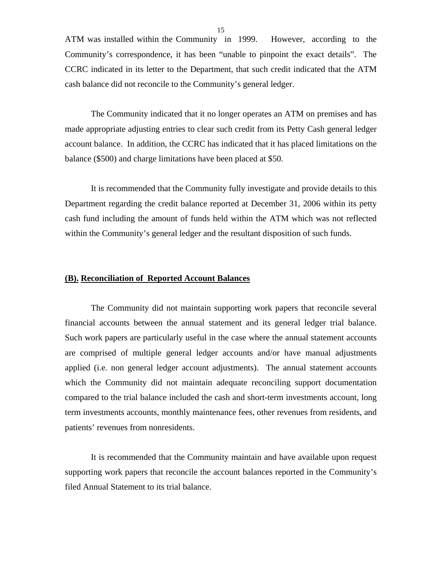ATM was installed within the Community in 1999. However, according to the Community's correspondence, it has been "unable to pinpoint the exact details". The CCRC indicated in its letter to the Department, that such credit indicated that the ATM cash balance did not reconcile to the Community's general ledger.

The Community indicated that it no longer operates an ATM on premises and has made appropriate adjusting entries to clear such credit from its Petty Cash general ledger account balance. In addition, the CCRC has indicated that it has placed limitations on the balance (\$500) and charge limitations have been placed at \$50.

It is recommended that the Community fully investigate and provide details to this Department regarding the credit balance reported at December 31, 2006 within its petty cash fund including the amount of funds held within the ATM which was not reflected within the Community's general ledger and the resultant disposition of such funds.

#### **(B). Reconciliation of Reported Account Balances**

The Community did not maintain supporting work papers that reconcile several financial accounts between the annual statement and its general ledger trial balance. Such work papers are particularly useful in the case where the annual statement accounts are comprised of multiple general ledger accounts and/or have manual adjustments applied (i.e. non general ledger account adjustments). The annual statement accounts which the Community did not maintain adequate reconciling support documentation compared to the trial balance included the cash and short-term investments account, long term investments accounts, monthly maintenance fees, other revenues from residents, and patients' revenues from nonresidents.

It is recommended that the Community maintain and have available upon request supporting work papers that reconcile the account balances reported in the Community's filed Annual Statement to its trial balance.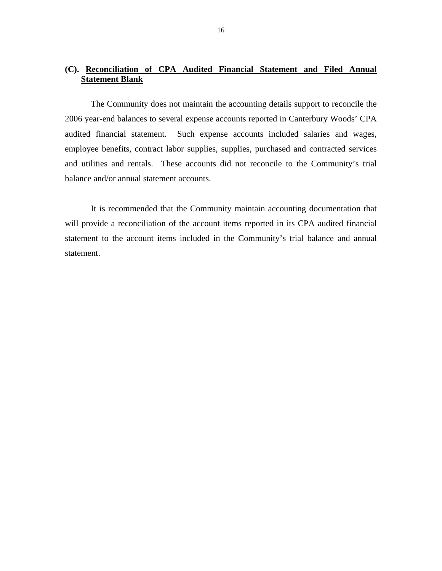### **(C). Reconciliation of CPA Audited Financial Statement and Filed Annual Statement Blank**

The Community does not maintain the accounting details support to reconcile the 2006 year-end balances to several expense accounts reported in Canterbury Woods' CPA audited financial statement. Such expense accounts included salaries and wages, employee benefits, contract labor supplies, supplies, purchased and contracted services and utilities and rentals. These accounts did not reconcile to the Community's trial balance and/or annual statement accounts.

It is recommended that the Community maintain accounting documentation that will provide a reconciliation of the account items reported in its CPA audited financial statement to the account items included in the Community's trial balance and annual statement.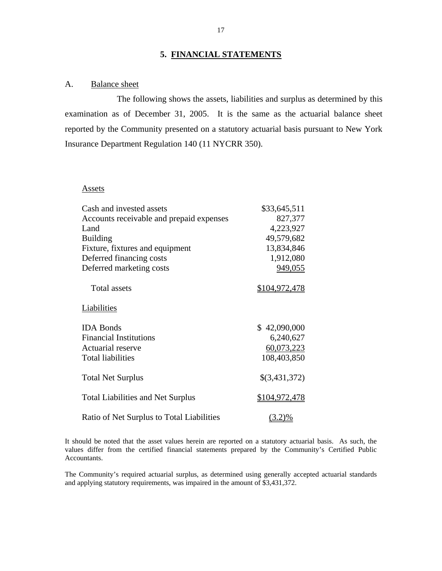## **5. FINANCIAL STATEMENTS**

#### <span id="page-18-0"></span>A. Balance sheet

The following shows the assets, liabilities and surplus as determined by this examination as of December 31, 2005. It is the same as the actuarial balance sheet reported by the Community presented on a statutory actuarial basis pursuant to New York Insurance Department Regulation 140 (11 NYCRR 350).

#### **Assets**

| Cash and invested assets                  | \$33,645,511  |
|-------------------------------------------|---------------|
| Accounts receivable and prepaid expenses  | 827,377       |
| Land                                      | 4,223,927     |
| <b>Building</b>                           | 49,579,682    |
| Fixture, fixtures and equipment           | 13,834,846    |
| Deferred financing costs                  | 1,912,080     |
| Deferred marketing costs                  | 949,055       |
| <b>Total assets</b>                       | \$104,972,478 |
| <b>Liabilities</b>                        |               |
| <b>IDA</b> Bonds                          | \$42,090,000  |
| <b>Financial Institutions</b>             | 6,240,627     |
| Actuarial reserve                         | 60,073,223    |
| <b>Total liabilities</b>                  | 108,403,850   |
| <b>Total Net Surplus</b>                  | \$(3,431,372) |
| <b>Total Liabilities and Net Surplus</b>  | \$104,972,478 |
| Ratio of Net Surplus to Total Liabilities | $(3.2)\%$     |

It should be noted that the asset values herein are reported on a statutory actuarial basis. As such, the values differ from the certified financial statements prepared by the Community's Certified Public Accountants.

 and applying statutory requirements, was impaired in the amount of \$3,431,372. The Community's required actuarial surplus, as determined using generally accepted actuarial standards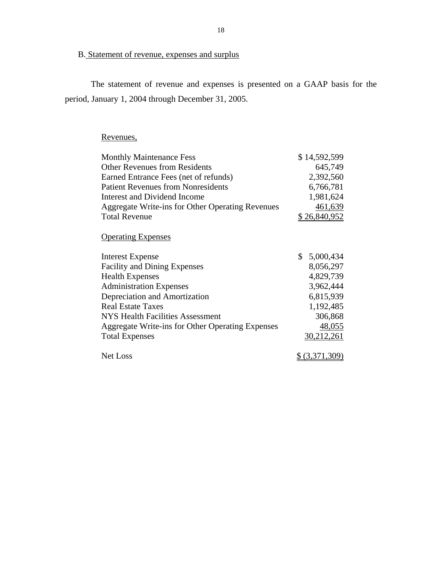## B. Statement of revenue, expenses and surplus

The statement of revenue and expenses is presented on a GAAP basis for the period, January 1, 2004 through December 31, 2005.

## Revenues,

| Revenues,                                        |                           |
|--------------------------------------------------|---------------------------|
| <b>Monthly Maintenance Fess</b>                  | \$14,592,599              |
| <b>Other Revenues from Residents</b>             | 645,749                   |
| Earned Entrance Fees (net of refunds)            | 2,392,560                 |
| <b>Patient Revenues from Nonresidents</b>        | 6,766,781                 |
| Interest and Dividend Income                     | 1,981,624                 |
| Aggregate Write-ins for Other Operating Revenues | 461,639                   |
| <b>Total Revenue</b>                             | \$26,840,952              |
| <b>Operating Expenses</b>                        |                           |
| <b>Interest Expense</b>                          | $\mathbb{S}$<br>5,000,434 |
| <b>Facility and Dining Expenses</b>              | 8,056,297                 |
| <b>Health Expenses</b>                           | 4,829,739                 |
| <b>Administration Expenses</b>                   | 3,962,444                 |
| Depreciation and Amortization                    | 6,815,939                 |
| <b>Real Estate Taxes</b>                         | 1,192,485                 |
| <b>NYS Health Facilities Assessment</b>          | 306,868                   |
| Aggregate Write-ins for Other Operating Expenses | 48,055                    |
| <b>Total Expenses</b>                            | 30,212,261                |
|                                                  |                           |
| <b>Net Loss</b>                                  | (3.371.309)               |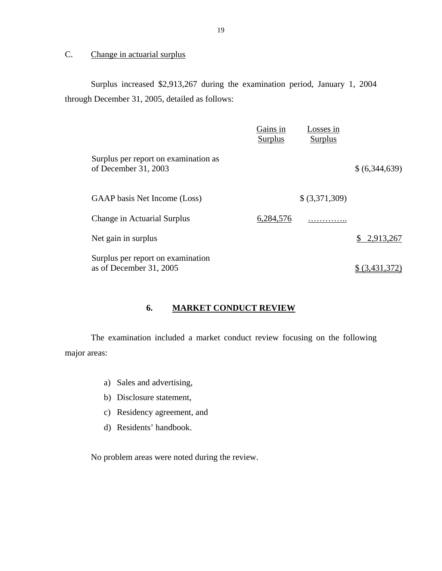### <span id="page-20-0"></span>C. Change in actuarial surplus

Surplus increased \$2,913,267 during the examination period, January 1, 2004 through December 31, 2005, detailed as follows:

|                                                              | Gains in<br><b>Surplus</b> | Losses in<br>Surplus |               |
|--------------------------------------------------------------|----------------------------|----------------------|---------------|
| Surplus per report on examination as<br>of December 31, 2003 |                            |                      | \$(6,344,639) |
| GAAP basis Net Income (Loss)                                 |                            | \$ (3,371,309)       |               |
| Change in Actuarial Surplus                                  | 6,284,576                  | .                    |               |
| Net gain in surplus                                          |                            |                      | \$2,913,267   |
| Surplus per report on examination<br>as of December 31, 2005 |                            |                      | (3,431,3)     |

### **6. MARKET CONDUCT REVIEW**

The examination included a market conduct review focusing on the following major areas:

- a) Sales and advertising,
- b) Disclosure statement,
- c) Residency agreement, and
- d) Residents' handbook.

No problem areas were noted during the review.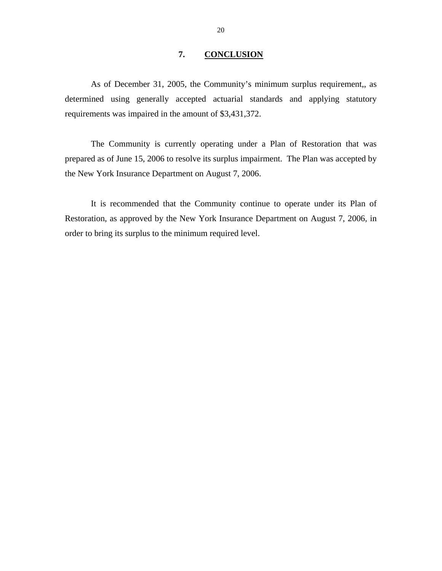#### **7. CONCLUSION**

<span id="page-21-0"></span>As of December 31, 2005, the Community's minimum surplus requirement,, as determined using generally accepted actuarial standards and applying statutory requirements was impaired in the amount of \$3,431,372.

The Community is currently operating under a Plan of Restoration that was prepared as of June 15, 2006 to resolve its surplus impairment. The Plan was accepted by the New York Insurance Department on August 7, 2006.

It is recommended that the Community continue to operate under its Plan of Restoration, as approved by the New York Insurance Department on August 7, 2006, in order to bring its surplus to the minimum required level.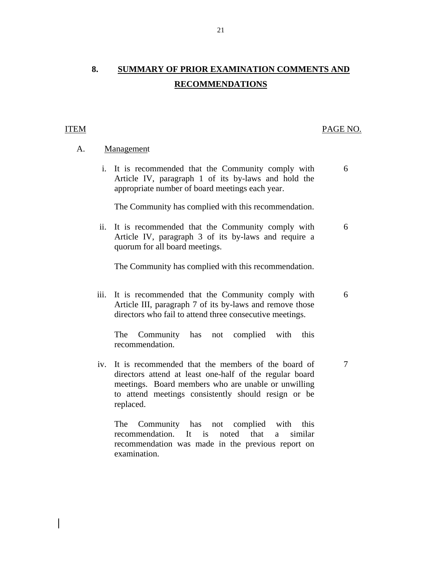## **8. SUMMARY OF PRIOR EXAMINATION COMMENTS AND RECOMMENDATIONS**

#### **ITEM**

#### PAGE NO.

6

6

7

#### A. Management

i. It is recommended that the Community comply with Article IV, paragraph 1 of its by-laws and hold the appropriate number of board meetings each year.

The Community has complied with this recommendation.

ii. It is recommended that the Community comply with Article IV, paragraph 3 of its by-laws and require a quorum for all board meetings. 6

The Community has complied with this recommendation.

iii. It is recommended that the Community comply with Article III, paragraph 7 of its by-laws and remove those directors who fail to attend three consecutive meetings.

The Community has not complied with this recommendation.

iv. It is recommended that the members of the board of directors attend at least one-half of the regular board meetings. Board members who are unable or unwilling to attend meetings consistently should resign or be replaced.

The Community has not complied with this recommendation. It is noted that a similar recommendation was made in the previous report on examination.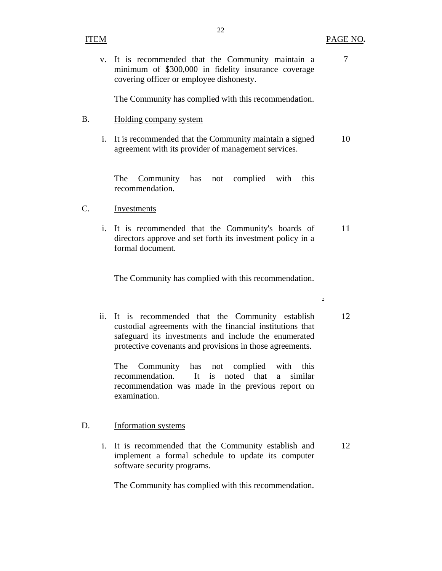v. It is recommended that the Community maintain a minimum of \$300,000 in fidelity insurance coverage covering officer or employee dishonesty.

22

The Community has complied with this recommendation.

- B. Holding company system
	- i. It is recommended that the Community maintain a signed agreement with its provider of management services. 10

The Community has not complied with this recommendation.

#### Investments C.

Investments<br>
i. It is recommended that the Community's boards of directors approve and set forth its investment policy in a formal document. 11

The Community has complied with this recommendation.

ii. It is recommended that the Community establish custodial agreements with the financial institutions that safeguard its investments and include the enumerated protective covenants and provisions in those agreements. 12

The Community has not complied with this recommendation. It is noted that a similar recommendation was made in the previous report on examination.

#### **Information** systems D.

Information systems<br>i. It is recommended that the Community establish and implement a formal schedule to update its computer software security programs. 12

The Community has complied with this recommendation.

7

.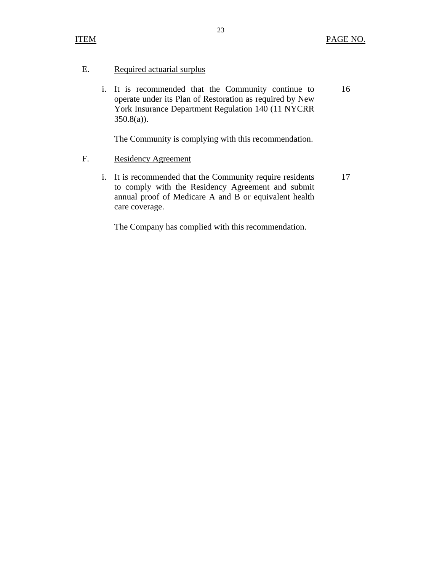#### Required actuarial surplus E.

Required actuarial surplus<br>i. It is recommended that the Community continue to operate under its Plan of Restoration as required by New York Insurance Department Regulation 140 (11 NYCRR  $350.8(a)$ ). 16

The Community is complying with this recommendation.

#### F. Residency Agreement

i. It is recommended that the Community require residents to comply with the Residency Agreement and submit annual proof of Medicare A and B or equivalent health care coverage. 17

The Company has complied with this recommendation.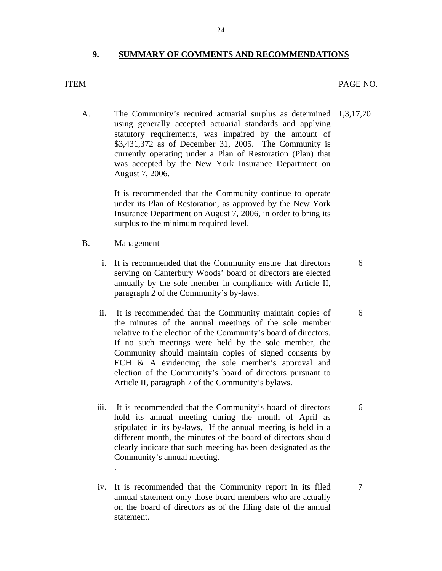#### **9. SUMMARY OF COMMENTS AND RECOMMENDATIONS**

#### **ITEM**

#### PAGE NO.

A. The Community's required actuarial surplus as determined 1,3,17,20 using generally accepted actuarial standards and applying statutory requirements, was impaired by the amount of \$3,431,372 as of December 31, 2005. The Community is currently operating under a Plan of Restoration (Plan) that was accepted by the New York Insurance Department on August 7, 2006.

> It is recommended that the Community continue to operate under its Plan of Restoration, as approved by the New York Insurance Department on August 7, 2006, in order to bring its surplus to the minimum required level.

#### Management

.

- B. <u>Management</u><br>i. It is recommended that the Community ensure that directors serving on Canterbury Woods' board of directors are elected annually by the sole member in compliance with Article II, paragraph 2 of the Community's by-laws.
	- relative to the election of the Community's board of directors. ii. It is recommended that the Community maintain copies of the minutes of the annual meetings of the sole member If no such meetings were held by the sole member, the Community should maintain copies of signed consents by ECH & A evidencing the sole member's approval and election of the Community's board of directors pursuant to Article II, paragraph 7 of the Community's bylaws.
	- iii. It is recommended that the Community's board of directors hold its annual meeting during the month of April as stipulated in its by-laws. If the annual meeting is held in a different month, the minutes of the board of directors should clearly indicate that such meeting has been designated as the Community's annual meeting.
	- iv. It is recommended that the Community report in its filed annual statement only those board members who are actually on the board of directors as of the filing date of the annual statement.

6

6

6

7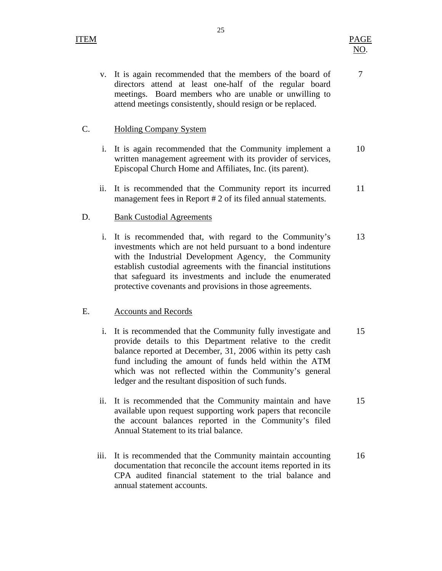#### **Holding Company System**

- C. Holding Company System<br>i. It is again recommended that the Community implement a written management agreement with its provider of services, Episcopal Church Home and Affiliates, Inc. (its parent). 10
	- ii. It is recommended that the Community report its incurred management fees in Report # 2 of its filed annual statements. 11

#### **Bank Custodial Agreements**

D. Bank Custodial Agreements<br>i. It is recommended that, with regard to the Community's investments which are not held pursuant to a bond indenture with the Industrial Development Agency, the Community establish custodial agreements with the financial institutions that safeguard its investments and include the enumerated protective covenants and provisions in those agreements. 13

#### **Accounts and Records**

- E. Accounts and Records<br>i. It is recommended that the Community fully investigate and provide details to this Department relative to the credit balance reported at December, 31, 2006 within its petty cash fund including the amount of funds held within the ATM which was not reflected within the Community's general ledger and the resultant disposition of such funds. 15
	- ii. It is recommended that the Community maintain and have available upon request supporting work papers that reconcile the account balances reported in the Community's filed Annual Statement to its trial balance. 15
	- iii. It is recommended that the Community maintain accounting documentation that reconcile the account items reported in its CPA audited financial statement to the trial balance and annual statement accounts. 16